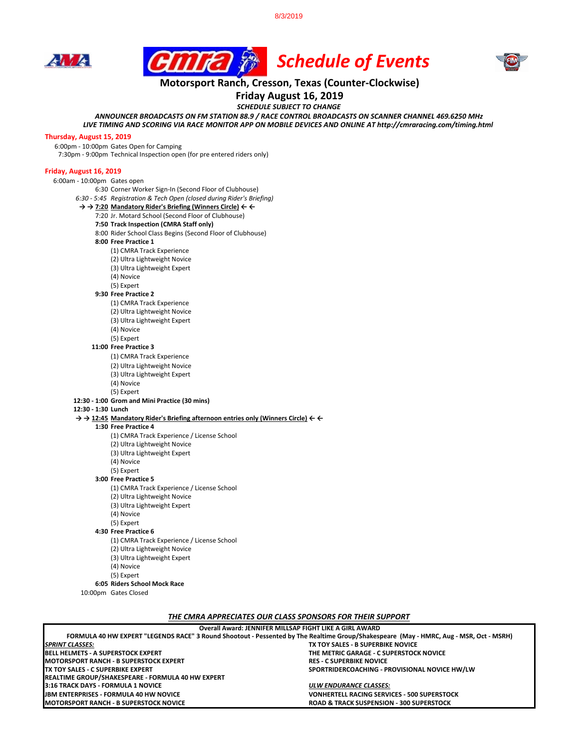8/3/2019







# **Motorsport Ranch, Cresson, Texas (Counter-Clockwise)**

**Friday August 16, 2019**

*SCHEDULE SUBJECT TO CHANGE*

*ANNOUNCER BROADCASTS ON FM STATION 88.9 / RACE CONTROL BROADCASTS ON SCANNER CHANNEL 469.6250 MHz*

*LIVE TIMING AND SCORING VIA RACE MONITOR APP ON MOBILE DEVICES AND ONLINE AT http://cmraracing.com/timing.html* 

### **Thursday, August 15, 2019**

6:00pm - 10:00pm Gates Open for Camping

7:30pm - 9:00pm Technical Inspection open (for pre entered riders only)

## **Friday, August 16, 2019**

6:00am - 10:00pm Gates open

- 6:30 Corner Worker Sign-In (Second Floor of Clubhouse)
- *6:30 5:45 Registration & Tech Open (closed during Rider's Briefing)*
- **→ → 7:20 Mandatory Rider's Briefing (Winners Circle) ← ←**
	- 7:20 Jr. Motard School (Second Floor of Clubhouse)
	- **7:50 Track Inspection (CMRA Staff only)**
	- 8:00 Rider School Class Begins (Second Floor of Clubhouse)
	- **8:00 Free Practice 1** 
		- (1) CMRA Track Experience
		- (2) Ultra Lightweight Novice
		- (3) Ultra Lightweight Expert
		- (4) Novice
		- (5) Expert
	- **9:30 Free Practice 2** 
		- (1) CMRA Track Experience
		- (2) Ultra Lightweight Novice
		- (3) Ultra Lightweight Expert
		- (4) Novice
		- (5) Expert

#### **11:00 Free Practice 3**

- (1) CMRA Track Experience
- (2) Ultra Lightweight Novice
- (3) Ultra Lightweight Expert
- (4) Novice
- (5) Expert

# **12:30 - 1:00 Grom and Mini Practice (30 mins)**

**12:30 - 1:30 Lunch**

**→ → 12:45 Mandatory Rider's Briefing afternoon entries only (Winners Circle) ← ←**

- **1:30 Free Practice 4** 
	- (1) CMRA Track Experience / License School
	- (2) Ultra Lightweight Novice
	- (3) Ultra Lightweight Expert
	- (4) Novice
	- (5) Expert
- **3:00 Free Practice 5**
	- (1) CMRA Track Experience / License School
	- (2) Ultra Lightweight Novice
	- (3) Ultra Lightweight Expert
	- (4) Novice
	- (5) Expert
- **4:30 Free Practice 6**
	- (1) CMRA Track Experience / License School
	- (2) Ultra Lightweight Novice
	- (3) Ultra Lightweight Expert
	- (4) Novice
	- (5) Expert
- **6:05 Riders School Mock Race**
- 10:00pm Gates Closed

*THE CMRA APPRECIATES OUR CLASS SPONSORS FOR THEIR SUPPORT*

| Overall Award: JENNIFER MILLSAP FIGHT LIKE A GIRL AWARD                                                                                |
|----------------------------------------------------------------------------------------------------------------------------------------|
| FORMULA 40 HW EXPERT "LEGENDS RACE" 3 Round Shootout - Pessented by The Realtime Group/Shakespeare (May - HMRC, Aug - MSR, Oct - MSRH) |
| TX TOY SALES - B SUPERBIKE NOVICE                                                                                                      |
| THE METRIC GARAGE - C SUPERSTOCK NOVICE                                                                                                |
| <b>RES - C SUPERBIKE NOVICE</b>                                                                                                        |
| SPORTRIDERCOACHING - PROVISIONAL NOVICE HW/LW                                                                                          |
|                                                                                                                                        |
| ULW ENDURANCE CLASSES:                                                                                                                 |
| <b>VONHERTELL RACING SERVICES - 500 SUPERSTOCK</b>                                                                                     |
| <b>ROAD &amp; TRACK SUSPENSION - 300 SUPERSTOCK</b>                                                                                    |
|                                                                                                                                        |